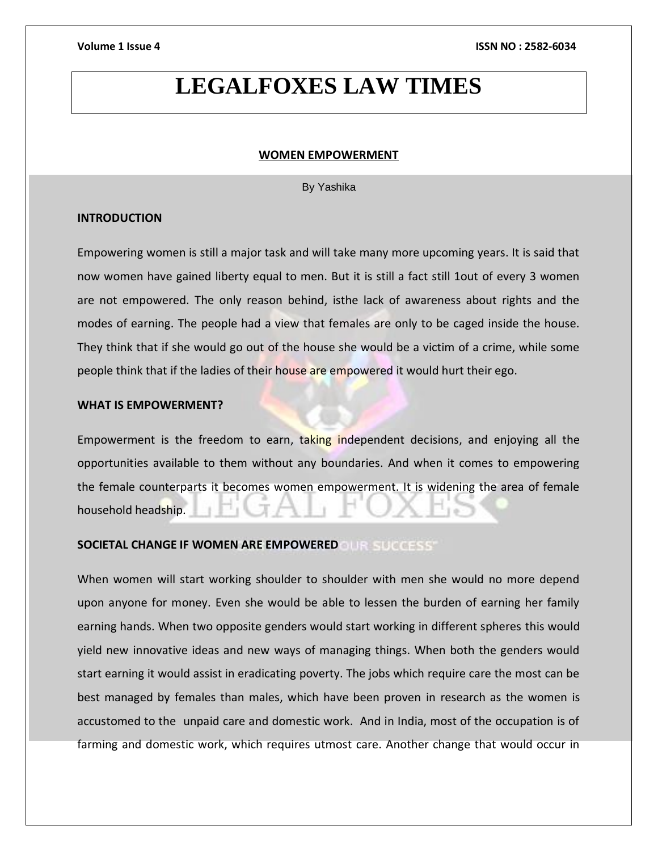# **LEGALFOXES LAW TIMES**

### **WOMEN EMPOWERMENT**

By Yashika

### **INTRODUCTION**

Empowering women is still a major task and will take many more upcoming years. It is said that now women have gained liberty equal to men. But it is still a fact still 1out of every 3 women are not empowered. The only reason behind, isthe lack of awareness about rights and the modes of earning. The people had a view that females are only to be caged inside the house. They think that if she would go out of the house she would be a victim of a crime, while some people think that if the ladies of their house are empowered it would hurt their ego.

### **WHAT IS EMPOWERMENT?**

Empowerment is the freedom to earn, taking independent decisions, and enjoying all the opportunities available to them without any boundaries. And when it comes to empowering the female counterparts it becomes women empowerment. It is widening the area of female household headship.

### **SOCIETAL CHANGE IF WOMEN ARE EMPOWERED**

When women will start working shoulder to shoulder with men she would no more depend upon anyone for money. Even she would be able to lessen the burden of earning her family earning hands. When two opposite genders would start working in different spheres this would yield new innovative ideas and new ways of managing things. When both the genders would start earning it would assist in eradicating poverty. The jobs which require care the most can be best managed by females than males, which have been proven in research as the women is accustomed to the unpaid care and domestic work. And in India, most of the occupation is of farming and domestic work, which requires utmost care. Another change that would occur in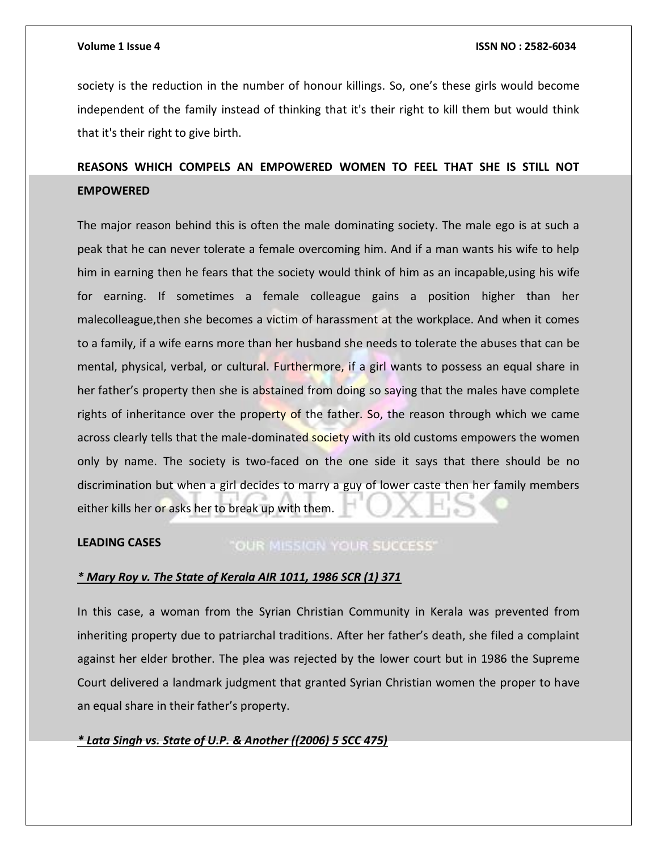society is the reduction in the number of honour killings. So, one's these girls would become independent of the family instead of thinking that it's their right to kill them but would think that it's their right to give birth.

# **REASONS WHICH COMPELS AN EMPOWERED WOMEN TO FEEL THAT SHE IS STILL NOT EMPOWERED**

The major reason behind this is often the male dominating society. The male ego is at such a peak that he can never tolerate a female overcoming him. And if a man wants his wife to help him in earning then he fears that the society would think of him as an incapable,using his wife for earning. If sometimes a female colleague gains a position higher than her malecolleague,then she becomes a victim of harassment at the workplace. And when it comes to a family, if a wife earns more than her husband she needs to tolerate the abuses that can be mental, physical, verbal, or cultural. Furthermore, if a girl wants to possess an equal share in her father's property then she is abstained from doing so saying that the males have complete rights of inheritance over the property of the father. So, the reason through which we came across clearly tells that the male-dominated society with its old customs empowers the women only by name. The society is two-faced on the one side it says that there should be no discrimination but when a girl decides to marry a guy of lower caste then her family members either kills her or asks her to break up with them.

### **LEADING CASES** "OUR MISSION YOUR SUCCESS"

### *\* Mary Roy v. The State of Kerala AIR 1011, 1986 SCR (1) 371*

In this case, a woman from the Syrian Christian Community in Kerala was prevented from inheriting property due to patriarchal traditions. After her father's death, she filed a complaint against her elder brother. The plea was rejected by the lower court but in 1986 the Supreme Court delivered a landmark judgment that granted Syrian Christian women the proper to have an equal share in their father's property.

### *\* Lata Singh vs. State of U.P. & Another ((2006) 5 SCC 475)*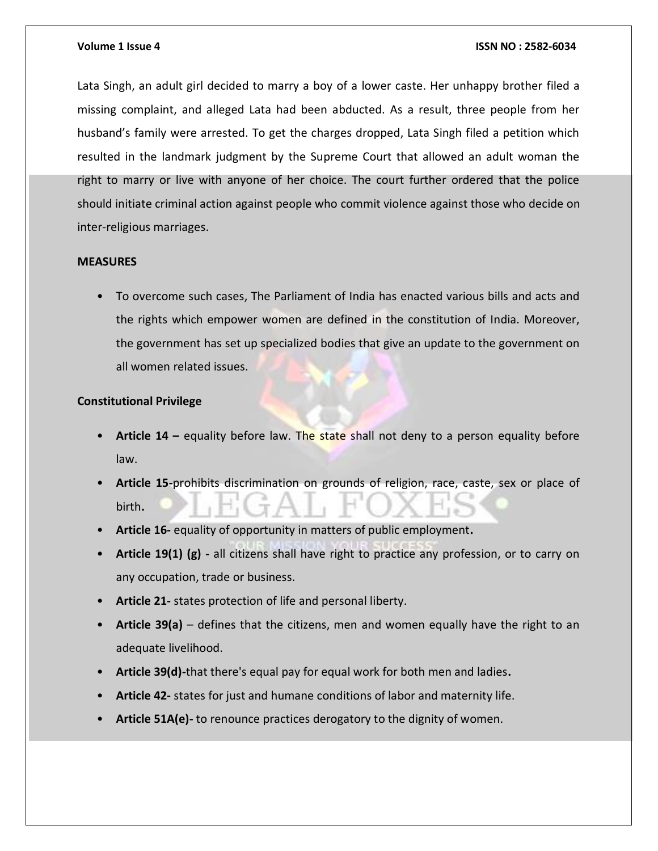### **Volume 1 Issue 4 ISSN NO : 2582-6034**

Lata Singh, an adult girl decided to marry a boy of a lower caste. Her unhappy brother filed a missing complaint, and alleged Lata had been abducted. As a result, three people from her husband's family were arrested. To get the charges dropped, Lata Singh filed a petition which resulted in the landmark judgment by the Supreme Court that allowed an adult woman the right to marry or live with anyone of her choice. The court further ordered that the police should initiate criminal action against people who commit violence against those who decide on inter-religious marriages.

### **MEASURES**

• To overcome such cases, The Parliament of India has enacted various bills and acts and the rights which empower women are defined in the constitution of India. Moreover, the government has set up specialized bodies that give an update to the government on all women related issues.

## **Constitutional Privilege**

- **Article 14 –** equality before law. The state shall not deny to a person equality before law.
- **Article 15-**prohibits discrimination on grounds of religion, race, caste, sex or place of birth**.**
- **Article 16-** equality of opportunity in matters of public employment**.**
- **Article 19(1) (g) -** all citizens shall have right to practice any profession, or to carry on any occupation, trade or business.
- **Article 21-** states protection of life and personal liberty.
- **Article 39(a)**  defines that the citizens, men and women equally have the right to an adequate livelihood.
- **Article 39(d)-**that there's equal pay for equal work for both men and ladies**.**
- **Article 42-** states for just and humane conditions of labor and maternity life.
- **Article 51A(e)-** to renounce practices derogatory to the dignity of women.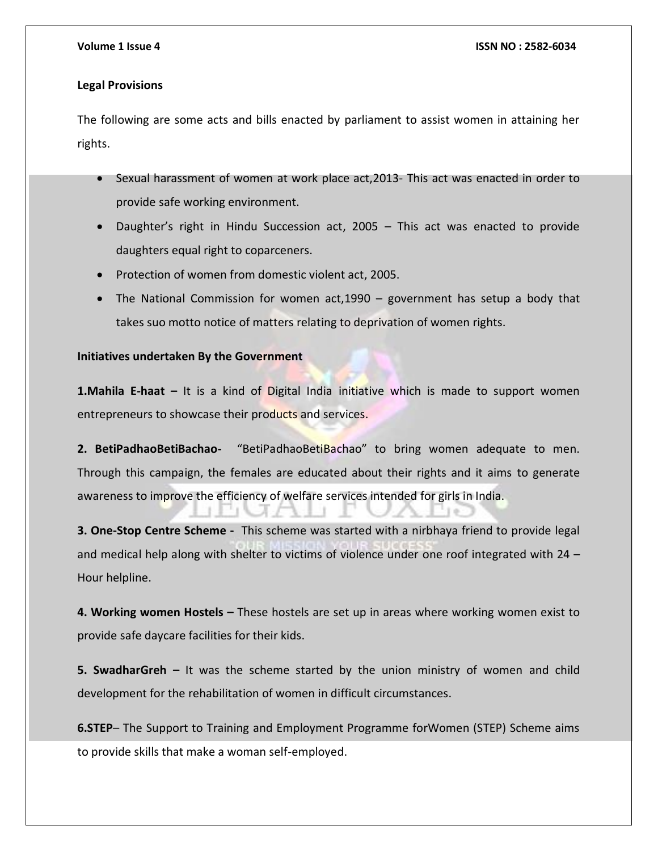### **Legal Provisions**

The following are some acts and bills enacted by parliament to assist women in attaining her rights.

- Sexual harassment of women at work place act, 2013- This act was enacted in order to provide safe working environment.
- Daughter's right in Hindu Succession act, 2005 This act was enacted to provide daughters equal right to coparceners.
- Protection of women from domestic violent act, 2005.
- The National Commission for women act,1990 government has setup a body that takes suo motto notice of matters relating to deprivation of women rights.

### **Initiatives undertaken By the Government**

**1.Mahila E-haat –** It is a kind of Digital India initiative which is made to support women entrepreneurs to showcase their products and services.

**2. BetiPadhaoBetiBachao-** "BetiPadhaoBetiBachao" to bring women adequate to men. Through this campaign, the females are educated about their rights and it aims to generate awareness to improve the efficiency of welfare services intended for girls in India.

**3. One-Stop Centre Scheme -** This scheme was started with a nirbhaya friend to provide legal and medical help along with shelter to victims of violence under one roof integrated with 24 – Hour helpline.

**4. Working women Hostels –** These hostels are set up in areas where working women exist to provide safe daycare facilities for their kids.

**5. SwadharGreh –** It was the scheme started by the union ministry of women and child development for the rehabilitation of women in difficult circumstances.

**6.STEP**– The Support to Training and Employment Programme forWomen (STEP) Scheme aims to provide skills that make a woman self-employed.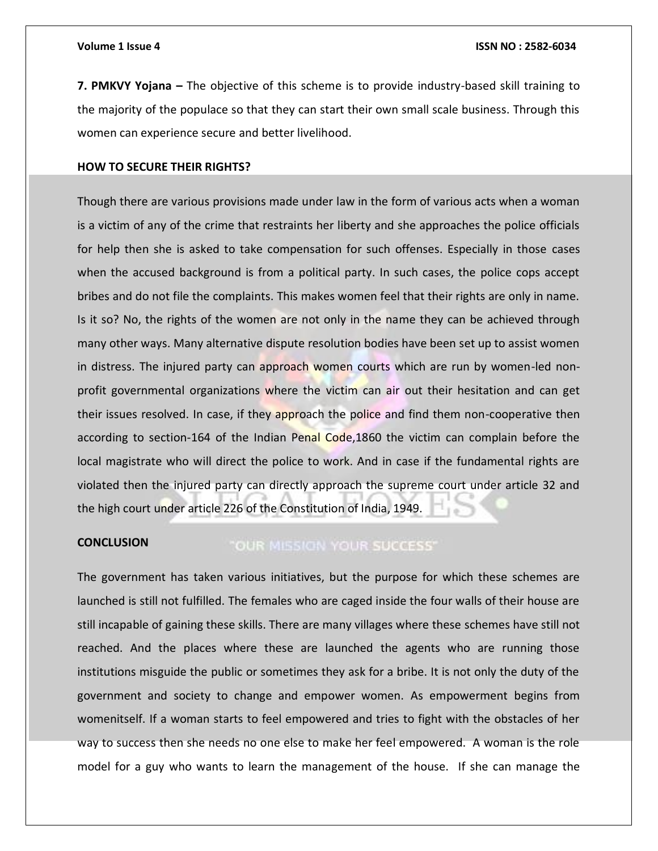**7. PMKVY Yojana –** The objective of this scheme is to provide industry-based skill training to the majority of the populace so that they can start their own small scale business. Through this women can experience secure and better livelihood.

### **HOW TO SECURE THEIR RIGHTS?**

Though there are various provisions made under law in the form of various acts when a woman is a victim of any of the crime that restraints her liberty and she approaches the police officials for help then she is asked to take compensation for such offenses. Especially in those cases when the accused background is from a political party. In such cases, the police cops accept bribes and do not file the complaints. This makes women feel that their rights are only in name. Is it so? No, the rights of the women are not only in the name they can be achieved through many other ways. Many alternative dispute resolution bodies have been set up to assist women in distress. The injured party can approach women courts which are run by women-led nonprofit governmental organizations where the victim can air out their hesitation and can get their issues resolved. In case, if they approach the police and find them non-cooperative then according to section-164 of the Indian Penal Code,1860 the victim can complain before the local magistrate who will direct the police to work. And in case if the fundamental rights are violated then the injured party can directly approach the supreme court under article 32 and the high court under article 226 of the Constitution of India, 1949.

### **CONCLUSION** "OUR MISSION YOUR SUCCESS"

The government has taken various initiatives, but the purpose for which these schemes are launched is still not fulfilled. The females who are caged inside the four walls of their house are still incapable of gaining these skills. There are many villages where these schemes have still not reached. And the places where these are launched the agents who are running those institutions misguide the public or sometimes they ask for a bribe. It is not only the duty of the government and society to change and empower women. As empowerment begins from womenitself. If a woman starts to feel empowered and tries to fight with the obstacles of her way to success then she needs no one else to make her feel empowered. A woman is the role model for a guy who wants to learn the management of the house. If she can manage the